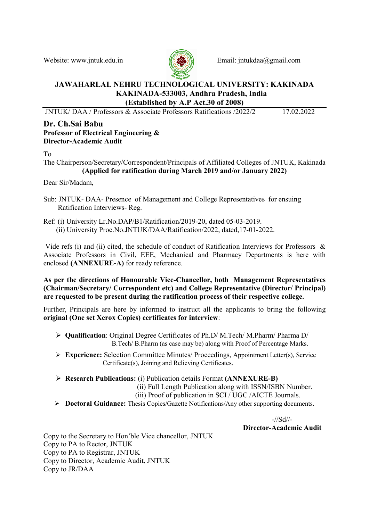

Website: www.intuk.edu.in  $\left( \frac{f}{f} \sqrt{g} \right)$  Email: intukdaa@gmail.com

#### JAWAHARLAL NEHRU TECHNOLOGICAL UNIVERSITY: KAKINADA KAKINADA-533003, Andhra Pradesh, India (Established by A.P Act.30 of 2008)

JNTUK/ DAA / Professors & Associate Professors Ratifications /2022/2 17.02.2022

#### Dr. Ch.Sai Babu Professor of Electrical Engineering & Director-Academic Audit

To

The Chairperson/Secretary/Correspondent/Principals of Affiliated Colleges of JNTUK, Kakinada (Applied for ratification during March 2019 and/or January 2022)

Dear Sir/Madam,

- Sub: JNTUK- DAA- Presence of Management and College Representatives for ensuing Ratification Interviews- Reg.
- Ref: (i) University Lr.No.DAP/B1/Ratification/2019-20, dated 05-03-2019. (ii) University Proc.No.JNTUK/DAA/Ratification/2022, dated,17-01-2022.

 Vide refs (i) and (ii) cited, the schedule of conduct of Ratification Interviews for Professors & Associate Professors in Civil, EEE, Mechanical and Pharmacy Departments is here with enclosed (ANNEXURE-A) for ready reference.

As per the directions of Honourable Vice-Chancellor, both Management Representatives (Chairman/Secretary/ Correspondent etc) and College Representative (Director/ Principal) are requested to be present during the ratification process of their respective college.

Further, Principals are here by informed to instruct all the applicants to bring the following original (One set Xerox Copies) certificates for interview:

- $\triangleright$  **Qualification:** Original Degree Certificates of Ph.D/ M.Tech/ M.Pharm/ Pharma D/ B.Tech/ B.Pharm (as case may be) along with Proof of Percentage Marks.
- Experience: Selection Committee Minutes/ Proceedings, Appointment Letter(s), Service Certificate(s), Joining and Relieving Certificates.
- Research Publications: (i) Publication details Format (ANNEXURE-B)

(ii) Full Length Publication along with ISSN/ISBN Number.

(iii) Proof of publication in SCI / UGC /AICTE Journals.

Doctoral Guidance: Thesis Copies/Gazette Notifications/Any other supporting documents.

-//Sd//- Director-Academic Audit

Copy to the Secretary to Hon'ble Vice chancellor, JNTUK Copy to PA to Rector, JNTUK Copy to PA to Registrar, JNTUK Copy to Director, Academic Audit, JNTUK Copy to JR/DAA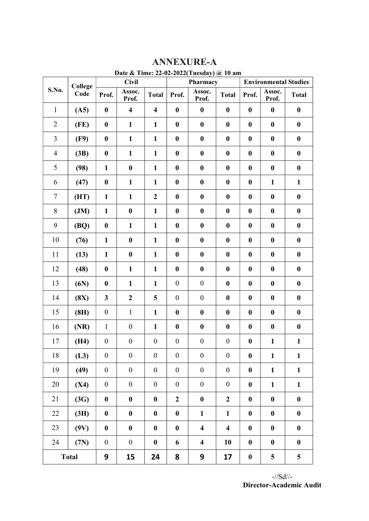| Date & Time: 22-02-2022(Tuesday) @ 10 am |                 |                  |                         |                         |                  |                         |                         |                              |                  |                  |
|------------------------------------------|-----------------|------------------|-------------------------|-------------------------|------------------|-------------------------|-------------------------|------------------------------|------------------|------------------|
|                                          | College<br>Code | <b>Civil</b>     |                         |                         | Pharmacy         |                         |                         | <b>Environmental Studies</b> |                  |                  |
| S.No.                                    |                 | Prof.            | Assoc.<br>Prof.         | <b>Total</b>            | Prof.            | Assoc.<br>Prof.         | <b>Total</b>            | Prof.                        | Assoc.<br>Prof.  | <b>Total</b>     |
| $\mathbf{1}$                             | (A5)            | $\boldsymbol{0}$ | $\overline{\mathbf{4}}$ | $\overline{\mathbf{4}}$ | $\bf{0}$         | $\boldsymbol{0}$        | $\boldsymbol{0}$        | $\boldsymbol{0}$             | $\boldsymbol{0}$ | $\boldsymbol{0}$ |
| $\overline{2}$                           | (FE)            | $\boldsymbol{0}$ | $\mathbf{1}$            | $\mathbf{1}$            | $\bf{0}$         | $\boldsymbol{0}$        | $\bf{0}$                | $\boldsymbol{0}$             | $\boldsymbol{0}$ | $\bf{0}$         |
| $\overline{3}$                           | (F9)            | $\bf{0}$         | $\mathbf{1}$            | $\mathbf{1}$            | $\boldsymbol{0}$ | $\boldsymbol{0}$        | $\boldsymbol{0}$        | $\boldsymbol{0}$             | $\bf{0}$         | $\boldsymbol{0}$ |
| $\overline{4}$                           | (3B)            | $\bf{0}$         | $\mathbf{1}$            | $\mathbf{1}$            | $\boldsymbol{0}$ | $\boldsymbol{0}$        | $\boldsymbol{0}$        | $\boldsymbol{0}$             | $\boldsymbol{0}$ | $\boldsymbol{0}$ |
| 5                                        | (98)            | $\mathbf{1}$     | $\bf{0}$                | $\mathbf{1}$            | $\boldsymbol{0}$ | $\boldsymbol{0}$        | $\boldsymbol{0}$        | $\boldsymbol{0}$             | $\boldsymbol{0}$ | $\boldsymbol{0}$ |
| 6                                        | (47)            | $\bf{0}$         | $\mathbf{1}$            | $\mathbf{1}$            | $\boldsymbol{0}$ | $\boldsymbol{0}$        | $\boldsymbol{0}$        | $\boldsymbol{0}$             | $\mathbf{1}$     | $\mathbf{1}$     |
| $\overline{7}$                           | (HT)            | $\mathbf{1}$     | $\mathbf{1}$            | $\boldsymbol{2}$        | $\bf{0}$         | $\boldsymbol{0}$        | $\bf{0}$                | $\boldsymbol{0}$             | $\boldsymbol{0}$ | $\boldsymbol{0}$ |
| 8                                        | JM)             | $\mathbf{1}$     | $\bf{0}$                | $\mathbf{1}$            | $\bf{0}$         | $\boldsymbol{0}$        | $\boldsymbol{0}$        | $\boldsymbol{0}$             | $\boldsymbol{0}$ | $\boldsymbol{0}$ |
| 9                                        | (BQ)            | $\bf{0}$         | $\mathbf{1}$            | $\mathbf{1}$            | $\bf{0}$         | $\boldsymbol{0}$        | $\bf{0}$                | $\boldsymbol{0}$             | $\boldsymbol{0}$ | $\boldsymbol{0}$ |
| 10                                       | (76)            | $\mathbf{1}$     | $\bf{0}$                | $\mathbf{1}$            | $\bf{0}$         | $\boldsymbol{0}$        | $\boldsymbol{0}$        | $\boldsymbol{0}$             | $\boldsymbol{0}$ | $\boldsymbol{0}$ |
| 11                                       | (13)            | $\mathbf{1}$     | $\boldsymbol{0}$        | $\mathbf{1}$            | $\boldsymbol{0}$ | $\boldsymbol{0}$        | $\boldsymbol{0}$        | $\boldsymbol{0}$             | $\boldsymbol{0}$ | $\boldsymbol{0}$ |
| 12                                       | (48)            | $\bf{0}$         | $\mathbf{1}$            | $\mathbf{1}$            | $\boldsymbol{0}$ | $\boldsymbol{0}$        | $\boldsymbol{0}$        | $\boldsymbol{0}$             | $\bf{0}$         | $\bf{0}$         |
| 13                                       | (6N)            | $\boldsymbol{0}$ | $\mathbf{1}$            | $\mathbf{1}$            | $\boldsymbol{0}$ | $\boldsymbol{0}$        | $\boldsymbol{0}$        | $\boldsymbol{0}$             | $\bf{0}$         | $\boldsymbol{0}$ |
| 14                                       | (8X)            | $\mathbf{3}$     | $\boldsymbol{2}$        | 5                       | $\boldsymbol{0}$ | $\boldsymbol{0}$        | $\boldsymbol{0}$        | $\boldsymbol{0}$             | $\boldsymbol{0}$ | $\boldsymbol{0}$ |
| 15                                       | (8H)            | $\boldsymbol{0}$ | $\mathbf{1}$            | $\mathbf{1}$            | $\boldsymbol{0}$ | $\boldsymbol{0}$        | $\boldsymbol{0}$        | $\boldsymbol{0}$             | $\bf{0}$         | $\boldsymbol{0}$ |
| 16                                       | (NR)            | $\mathbf{1}$     | $\boldsymbol{0}$        | $\mathbf{1}$            | $\bf{0}$         | $\boldsymbol{0}$        | $\boldsymbol{0}$        | $\boldsymbol{0}$             | $\boldsymbol{0}$ | $\boldsymbol{0}$ |
| 17                                       | (H4)            | $\boldsymbol{0}$ | $\boldsymbol{0}$        | $\boldsymbol{0}$        | $\boldsymbol{0}$ | $\boldsymbol{0}$        | $\boldsymbol{0}$        | $\boldsymbol{0}$             | $\mathbf{1}$     | $\mathbf{1}$     |
| 18                                       | (L3)            | $\boldsymbol{0}$ | $\boldsymbol{0}$        | $\boldsymbol{0}$        | $\boldsymbol{0}$ | $\boldsymbol{0}$        | $\boldsymbol{0}$        | $\boldsymbol{0}$             | $\mathbf{1}$     | $\mathbf{1}$     |
| 19                                       | (49)            | $\boldsymbol{0}$ | $\boldsymbol{0}$        | $\boldsymbol{0}$        | $\boldsymbol{0}$ | $\boldsymbol{0}$        | $\boldsymbol{0}$        | $\boldsymbol{0}$             | $\mathbf{1}$     | $\mathbf{1}$     |
| 20                                       | (X4)            | $\boldsymbol{0}$ | $\boldsymbol{0}$        | $\boldsymbol{0}$        | $\boldsymbol{0}$ | $\boldsymbol{0}$        | $\boldsymbol{0}$        | $\boldsymbol{0}$             | $\mathbf{1}$     | $\mathbf{1}$     |
| 21                                       | (3G)            | $\boldsymbol{0}$ | $\boldsymbol{0}$        | $\boldsymbol{0}$        | $\boldsymbol{2}$ | $\boldsymbol{0}$        | $\boldsymbol{2}$        | $\boldsymbol{0}$             | $\boldsymbol{0}$ | $\boldsymbol{0}$ |
| 22                                       | (3H)            | $\boldsymbol{0}$ | $\boldsymbol{0}$        | $\boldsymbol{0}$        | $\boldsymbol{0}$ | $\mathbf{1}$            | $\mathbf{1}$            | $\boldsymbol{0}$             | $\boldsymbol{0}$ | $\boldsymbol{0}$ |
| 23                                       | (9V)            | $\boldsymbol{0}$ | $\bf{0}$                | $\boldsymbol{0}$        | $\boldsymbol{0}$ | $\overline{\mathbf{4}}$ | $\overline{\mathbf{4}}$ | $\boldsymbol{0}$             | $\boldsymbol{0}$ | $\boldsymbol{0}$ |
| 24                                       | (7N)            | $\boldsymbol{0}$ | $\boldsymbol{0}$        | $\bf{0}$                | 6                | $\overline{\mathbf{4}}$ | 10                      | $\boldsymbol{0}$             | $\boldsymbol{0}$ | $\boldsymbol{0}$ |
| <b>Total</b>                             |                 | 9                | 15                      | 24                      | 8                | 9                       | 17                      | $\pmb{0}$                    | 5                | 5                |

## ANNEXURE-A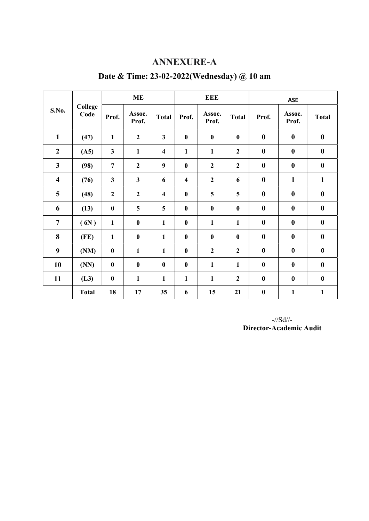#### ANNEXURE-A

| S.No.                   | <b>College</b><br>Code | <b>ME</b>      |                 |                         | <b>EEE</b>              |                 |                  | <b>ASE</b>       |                  |                  |
|-------------------------|------------------------|----------------|-----------------|-------------------------|-------------------------|-----------------|------------------|------------------|------------------|------------------|
|                         |                        | Prof.          | Assoc.<br>Prof. | <b>Total</b>            | Prof.                   | Assoc.<br>Prof. | <b>Total</b>     | Prof.            | Assoc.<br>Prof.  | <b>Total</b>     |
| $\mathbf{1}$            | (47)                   | $\mathbf{1}$   | $\overline{2}$  | $\mathbf{3}$            | $\bf{0}$                | $\bf{0}$        | $\bf{0}$         | $\bf{0}$         | $\bf{0}$         | $\bf{0}$         |
| $\boldsymbol{2}$        | (A5)                   | $\mathbf{3}$   | $\mathbf{1}$    | $\overline{\mathbf{4}}$ | $\mathbf{1}$            | $\mathbf{1}$    | $\boldsymbol{2}$ | $\bf{0}$         | $\boldsymbol{0}$ | $\boldsymbol{0}$ |
| $\overline{\mathbf{3}}$ | (98)                   | $\overline{7}$ | $\overline{2}$  | 9                       | $\boldsymbol{0}$        | $\overline{2}$  | $\overline{2}$   | $\bf{0}$         | $\bf{0}$         | $\bf{0}$         |
| $\overline{\mathbf{4}}$ | (76)                   | $\mathbf{3}$   | $\mathbf{3}$    | 6                       | $\overline{\mathbf{4}}$ | $\overline{2}$  | 6                | $\bf{0}$         | $\mathbf{1}$     | $\mathbf{1}$     |
| 5                       | (48)                   | $\overline{2}$ | $\overline{2}$  | $\overline{\mathbf{4}}$ | $\boldsymbol{0}$        | 5               | 5                | $\bf{0}$         | $\bf{0}$         | $\bf{0}$         |
| 6                       | (13)                   | $\bf{0}$       | 5               | 5                       | $\bf{0}$                | $\bf{0}$        | $\bf{0}$         | $\bf{0}$         | $\boldsymbol{0}$ | $\boldsymbol{0}$ |
| $\overline{7}$          | (6N)                   | $\mathbf{1}$   | $\pmb{0}$       | $\mathbf{1}$            | $\boldsymbol{0}$        | $\mathbf{1}$    | $\mathbf{1}$     | $\bf{0}$         | $\bf{0}$         | $\boldsymbol{0}$ |
| 8                       | (FE)                   | $\mathbf{1}$   | $\bf{0}$        | $\mathbf{1}$            | $\bf{0}$                | $\bf{0}$        | $\bf{0}$         | $\boldsymbol{0}$ | $\boldsymbol{0}$ | $\boldsymbol{0}$ |
| 9                       | (NM)                   | $\bf{0}$       | $\mathbf{1}$    | $\mathbf{1}$            | $\bf{0}$                | $\overline{2}$  | $\overline{2}$   | $\pmb{0}$        | $\pmb{0}$        | $\pmb{0}$        |
| 10                      | (NN)                   | $\bf{0}$       | $\bf{0}$        | $\boldsymbol{0}$        | $\bf{0}$                | $\mathbf{1}$    | $\mathbf{1}$     | $\bf{0}$         | $\bf{0}$         | $\boldsymbol{0}$ |
| 11                      | (L3)                   | $\bf{0}$       | $\mathbf{1}$    | $\mathbf{1}$            | $\mathbf{1}$            | 1               | $\overline{2}$   | $\mathbf 0$      | $\mathbf 0$      | $\mathbf 0$      |
|                         | <b>Total</b>           | 18             | 17              | 35                      | 6                       | 15              | 21               | $\boldsymbol{0}$ | $\mathbf{1}$     | $\mathbf{1}$     |

## Date & Time: 23-02-2022(Wednesday) @ 10 am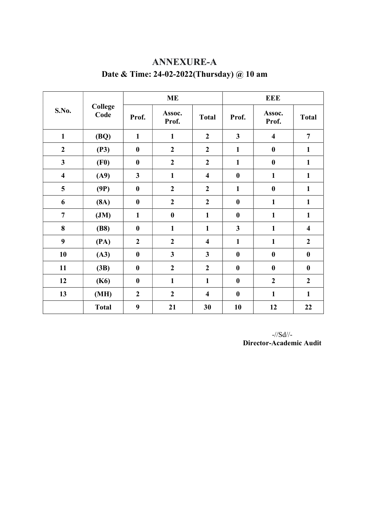|                         | College<br>Code |                         | <b>ME</b>               |                         | <b>EEE</b>              |                         |                         |  |
|-------------------------|-----------------|-------------------------|-------------------------|-------------------------|-------------------------|-------------------------|-------------------------|--|
| S.No.                   |                 | Prof.                   | Assoc.<br>Prof.         | <b>Total</b>            | Prof.                   | Assoc.<br>Prof.         | <b>Total</b>            |  |
| $\mathbf{1}$            | (BQ)            | $\mathbf{1}$            | $\mathbf{1}$            | $\overline{2}$          | $\overline{\mathbf{3}}$ | $\overline{\mathbf{4}}$ | $\overline{7}$          |  |
| $\boldsymbol{2}$        | (P3)            | $\boldsymbol{0}$        | $\boldsymbol{2}$        | $\boldsymbol{2}$        | $\mathbf{1}$            | $\bf{0}$                | $\mathbf{1}$            |  |
| $\mathbf{3}$            | (F0)            | $\boldsymbol{0}$        | $\boldsymbol{2}$        | $\boldsymbol{2}$        | $\mathbf{1}$            | $\bf{0}$                | $\mathbf{1}$            |  |
| $\overline{\mathbf{4}}$ | (A9)            | $\overline{\mathbf{3}}$ | $\mathbf{1}$            | $\overline{\mathbf{4}}$ | $\bf{0}$                | $\mathbf{1}$            | $\mathbf{1}$            |  |
| 5                       | (9P)            | $\bf{0}$                | $\boldsymbol{2}$        | $\boldsymbol{2}$        | $\mathbf{1}$            | $\bf{0}$                | $\mathbf{1}$            |  |
| 6                       | (8A)            | $\boldsymbol{0}$        | $\overline{2}$          | $\overline{2}$          | $\boldsymbol{0}$        | $\mathbf{1}$            | $\mathbf{1}$            |  |
| $\overline{7}$          | JM)             | $\mathbf{1}$            | $\boldsymbol{0}$        | $\mathbf{1}$            | $\boldsymbol{0}$        | $\mathbf{1}$            | $\mathbf{1}$            |  |
| 8                       | (B8)            | $\boldsymbol{0}$        | $\mathbf{1}$            | $\mathbf{1}$            | $\mathbf{3}$            | $\mathbf{1}$            | $\overline{\mathbf{4}}$ |  |
| 9                       | (PA)            | $\overline{2}$          | $\overline{2}$          | $\overline{\mathbf{4}}$ | $\mathbf{1}$            | $\mathbf{1}$            | $\overline{2}$          |  |
| 10                      | (A3)            | $\boldsymbol{0}$        | $\overline{\mathbf{3}}$ | $\mathbf{3}$            | $\boldsymbol{0}$        | $\bf{0}$                | $\bf{0}$                |  |
| 11                      | (3B)            | $\boldsymbol{0}$        | $\overline{2}$          | $\boldsymbol{2}$        | $\boldsymbol{0}$        | $\bf{0}$                | $\bf{0}$                |  |
| 12                      | (K6)            | $\boldsymbol{0}$        | $\mathbf{1}$            | $\mathbf{1}$            | $\boldsymbol{0}$        | $\overline{2}$          | $\boldsymbol{2}$        |  |
| 13                      | (MH)            | $\boldsymbol{2}$        | $\overline{2}$          | $\overline{\mathbf{4}}$ | $\boldsymbol{0}$        | $\mathbf{1}$            | $\mathbf{1}$            |  |
|                         | <b>Total</b>    | 9                       | 21                      | 30                      | 10                      | 12                      | 22                      |  |

# ANNEXURE-A Date & Time: 24-02-2022(Thursday) @ 10 am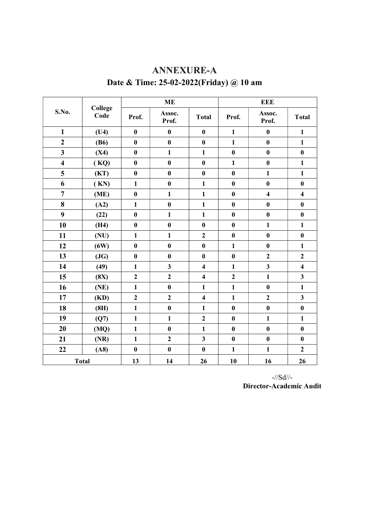| S.No.                   | College<br>Code |                  | <b>ME</b>               |                         | <b>EEE</b>       |                         |                         |  |
|-------------------------|-----------------|------------------|-------------------------|-------------------------|------------------|-------------------------|-------------------------|--|
|                         |                 | Prof.            | Assoc.<br>Prof.         | <b>Total</b>            | Prof.            | Assoc.<br>Prof.         | <b>Total</b>            |  |
| $\mathbf{1}$            | (U4)            | $\boldsymbol{0}$ | $\bf{0}$                | $\boldsymbol{0}$        | $\mathbf{1}$     | $\boldsymbol{0}$        | $\mathbf{1}$            |  |
| $\overline{2}$          | (B6)            | $\bf{0}$         | $\bf{0}$                | $\bf{0}$                | $\mathbf{1}$     | $\bf{0}$                | $\mathbf{1}$            |  |
| $\overline{\mathbf{3}}$ | (X4)            | $\boldsymbol{0}$ | $\mathbf{1}$            | $\mathbf{1}$            | $\boldsymbol{0}$ | $\bf{0}$                | $\pmb{0}$               |  |
| $\overline{\mathbf{4}}$ | (KQ)            | $\bf{0}$         | $\bf{0}$                | $\bf{0}$                | $\mathbf{1}$     | $\bf{0}$                | $\mathbf{1}$            |  |
| 5                       | (KT)            | $\boldsymbol{0}$ | $\boldsymbol{0}$        | $\bf{0}$                | $\boldsymbol{0}$ | $\mathbf{1}$            | $\mathbf{1}$            |  |
| 6                       | (KN)            | $\mathbf{1}$     | $\bf{0}$                | $\mathbf{1}$            | $\bf{0}$         | $\bf{0}$                | $\bf{0}$                |  |
| $\overline{7}$          | (ME)            | $\bf{0}$         | $\mathbf{1}$            | $\mathbf{1}$            | $\bf{0}$         | $\overline{\mathbf{4}}$ | $\overline{\mathbf{4}}$ |  |
| 8                       | (A2)            | $\mathbf{1}$     | $\bf{0}$                | $\mathbf{1}$            | $\bf{0}$         | $\bf{0}$                | $\bf{0}$                |  |
| 9                       | (22)            | $\bf{0}$         | $\mathbf{1}$            | $\mathbf{1}$            | $\boldsymbol{0}$ | $\bf{0}$                | $\bf{0}$                |  |
| 10                      | (H4)            | $\bf{0}$         | $\boldsymbol{0}$        | $\bf{0}$                | $\bf{0}$         | $\mathbf{1}$            | $\mathbf{1}$            |  |
| 11                      | (NU)            | $\mathbf{1}$     | $\mathbf{1}$            | $\overline{2}$          | $\bf{0}$         | $\bf{0}$                | $\bf{0}$                |  |
| 12                      | (6W)            | $\boldsymbol{0}$ | $\bf{0}$                | $\boldsymbol{0}$        | $\mathbf{1}$     | $\bf{0}$                | $\mathbf{1}$            |  |
| 13                      | (JG)            | $\boldsymbol{0}$ | $\bf{0}$                | $\bf{0}$                | $\bf{0}$         | $\overline{2}$          | $\overline{2}$          |  |
| 14                      | (49)            | $\mathbf{1}$     | $\overline{\mathbf{3}}$ | $\overline{\mathbf{4}}$ | $\mathbf{1}$     | $\overline{\mathbf{3}}$ | $\overline{\mathbf{4}}$ |  |
| 15                      | (8X)            | $\overline{2}$   | $\overline{\mathbf{c}}$ | $\overline{\mathbf{4}}$ | $\overline{2}$   | $\mathbf{1}$            | $\mathbf{3}$            |  |
| 16                      | (NE)            | $\mathbf{1}$     | $\bf{0}$                | $\mathbf{1}$            | $\mathbf{1}$     | $\bf{0}$                | $\mathbf{1}$            |  |
| 17                      | (KD)            | $\overline{2}$   | $\overline{\mathbf{c}}$ | $\overline{\mathbf{4}}$ | $\mathbf{1}$     | $\overline{2}$          | $\mathbf{3}$            |  |
| 18                      | (8H)            | $\mathbf{1}$     | $\bf{0}$                | $\mathbf{1}$            | $\boldsymbol{0}$ | $\boldsymbol{0}$        | $\bf{0}$                |  |
| 19                      | (Q7)            | $\mathbf{1}$     | $\mathbf{1}$            | $\overline{2}$          | $\bf{0}$         | $\mathbf{1}$            | $\mathbf{1}$            |  |
| 20                      | (MQ)            | $\mathbf{1}$     | $\boldsymbol{0}$        | $\mathbf{1}$            | $\bf{0}$         | $\bf{0}$                | $\bf{0}$                |  |
| 21                      | (NR)            | $\mathbf{1}$     | $\overline{\mathbf{c}}$ | $\mathbf{3}$            | $\bf{0}$         | $\bf{0}$                | $\pmb{0}$               |  |
| 22                      | (A8)            | $\boldsymbol{0}$ | $\boldsymbol{0}$        | $\boldsymbol{0}$        | $\mathbf{1}$     | $\mathbf{1}$            | $\overline{2}$          |  |
|                         | <b>Total</b>    | 13               | 14                      | 26                      | 10               | 16                      | 26                      |  |

## ANNEXURE-A Date & Time: 25-02-2022(Friday) @ 10 am